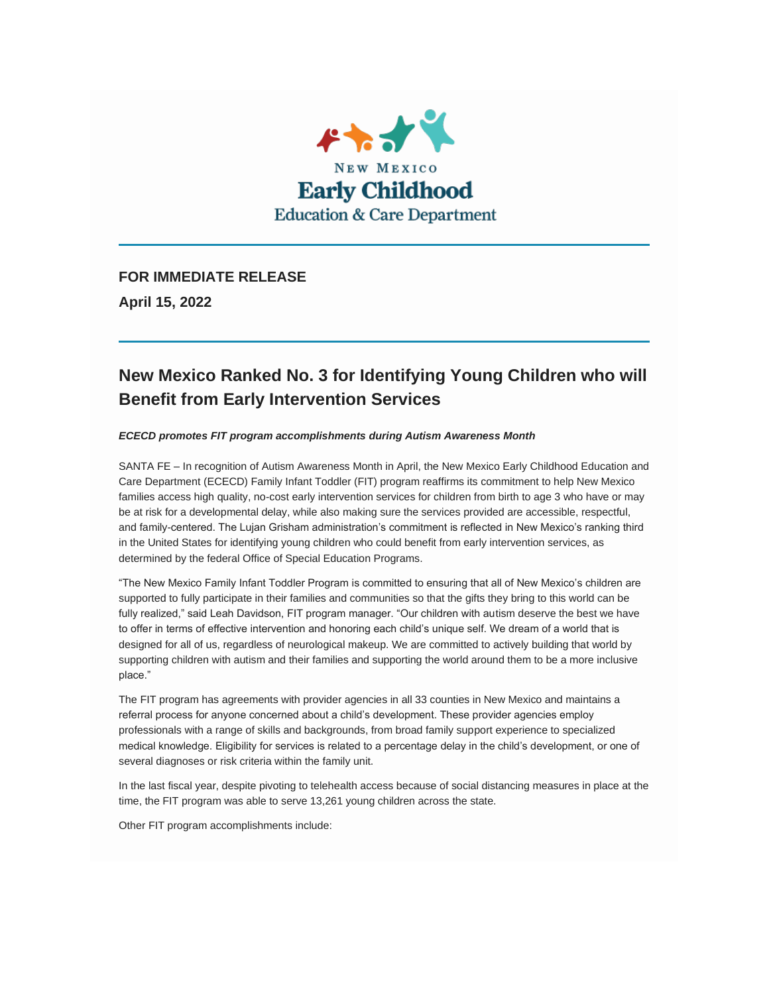

**FOR IMMEDIATE RELEASE**

**April 15, 2022**

## **New Mexico Ranked No. 3 for Identifying Young Children who will Benefit from Early Intervention Services**

*ECECD promotes FIT program accomplishments during Autism Awareness Month*

SANTA FE – In recognition of Autism Awareness Month in April, the New Mexico Early Childhood Education and Care Department (ECECD) Family Infant Toddler (FIT) program reaffirms its commitment to help New Mexico families access high quality, no-cost early intervention services for children from birth to age 3 who have or may be at risk for a developmental delay, while also making sure the services provided are accessible, respectful, and family-centered. The Lujan Grisham administration's commitment is reflected in New Mexico's ranking third in the United States for identifying young children who could benefit from early intervention services, as determined by the federal Office of Special Education Programs.

"The New Mexico Family Infant Toddler Program is committed to ensuring that all of New Mexico's children are supported to fully participate in their families and communities so that the gifts they bring to this world can be fully realized," said Leah Davidson, FIT program manager. "Our children with autism deserve the best we have to offer in terms of effective intervention and honoring each child's unique self. We dream of a world that is designed for all of us, regardless of neurological makeup. We are committed to actively building that world by supporting children with autism and their families and supporting the world around them to be a more inclusive place."

The FIT program has agreements with provider agencies in all 33 counties in New Mexico and maintains a referral process for anyone concerned about a child's development. These provider agencies employ professionals with a range of skills and backgrounds, from broad family support experience to specialized medical knowledge. Eligibility for services is related to a percentage delay in the child's development, or one of several diagnoses or risk criteria within the family unit.

In the last fiscal year, despite pivoting to telehealth access because of social distancing measures in place at the time, the FIT program was able to serve 13,261 young children across the state.

Other FIT program accomplishments include: